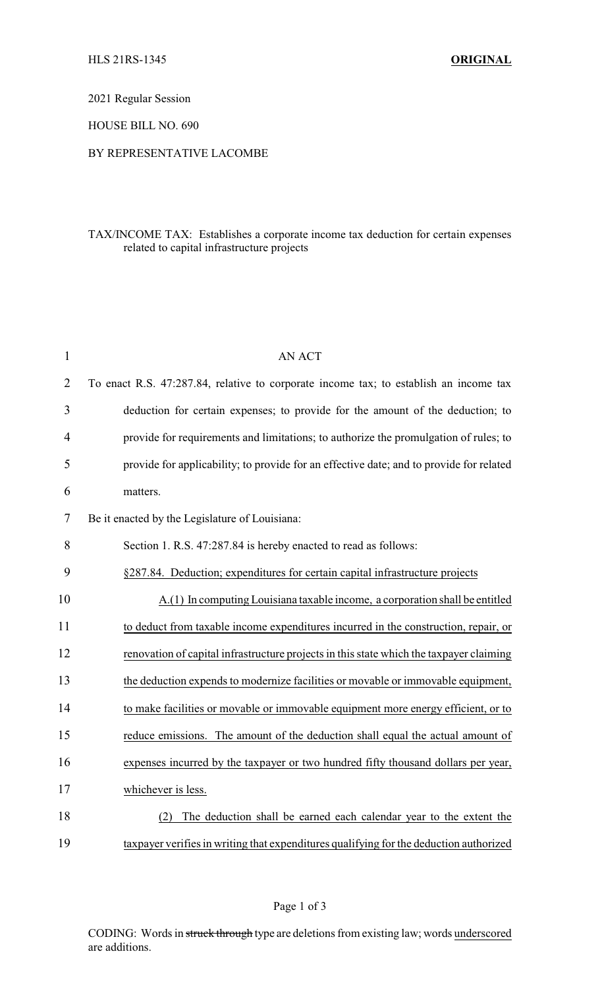2021 Regular Session

HOUSE BILL NO. 690

## BY REPRESENTATIVE LACOMBE

## TAX/INCOME TAX: Establishes a corporate income tax deduction for certain expenses related to capital infrastructure projects

| $\mathbf{1}$   | <b>AN ACT</b>                                                                           |
|----------------|-----------------------------------------------------------------------------------------|
| $\overline{2}$ | To enact R.S. 47:287.84, relative to corporate income tax; to establish an income tax   |
| 3              | deduction for certain expenses; to provide for the amount of the deduction; to          |
| $\overline{4}$ | provide for requirements and limitations; to authorize the promulgation of rules; to    |
| 5              | provide for applicability; to provide for an effective date; and to provide for related |
| 6              | matters.                                                                                |
| 7              | Be it enacted by the Legislature of Louisiana:                                          |
| 8              | Section 1. R.S. 47:287.84 is hereby enacted to read as follows:                         |
| 9              | §287.84. Deduction; expenditures for certain capital infrastructure projects            |
| 10             | A.(1) In computing Louisiana taxable income, a corporation shall be entitled            |
| 11             | to deduct from taxable income expenditures incurred in the construction, repair, or     |
| 12             | renovation of capital infrastructure projects in this state which the taxpayer claiming |
| 13             | the deduction expends to modernize facilities or movable or immovable equipment,        |
| 14             | to make facilities or movable or immovable equipment more energy efficient, or to       |
| 15             | reduce emissions. The amount of the deduction shall equal the actual amount of          |
| 16             | expenses incurred by the taxpayer or two hundred fifty thousand dollars per year,       |
| 17             | whichever is less.                                                                      |
| 18             | The deduction shall be earned each calendar year to the extent the<br>(2)               |
| 19             | taxpayer verifies in writing that expenditures qualifying for the deduction authorized  |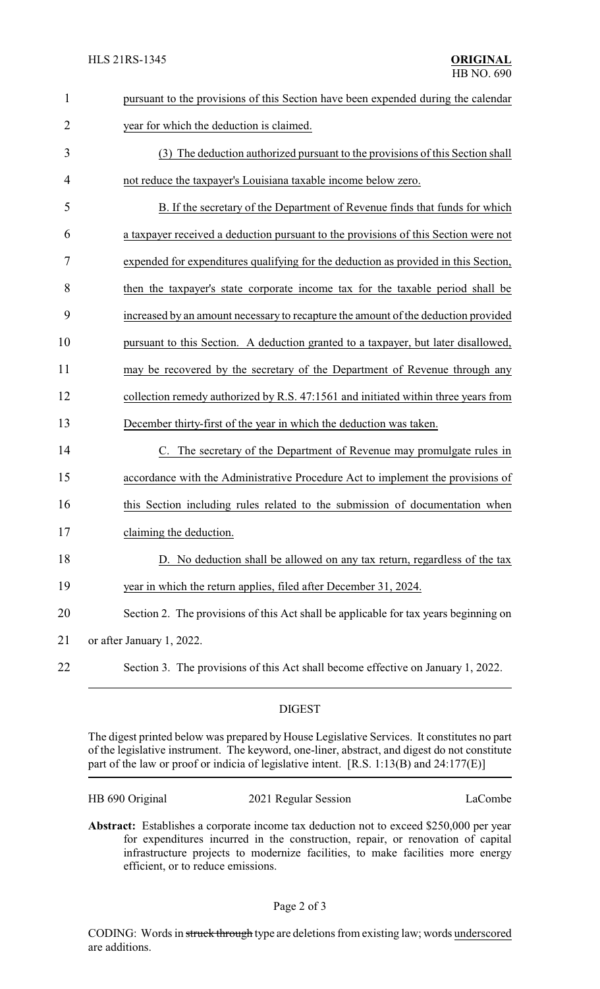| $\mathbf{1}$   | pursuant to the provisions of this Section have been expended during the calendar    |  |
|----------------|--------------------------------------------------------------------------------------|--|
| $\overline{2}$ | year for which the deduction is claimed.                                             |  |
| 3              | (3) The deduction authorized pursuant to the provisions of this Section shall        |  |
| $\overline{4}$ | not reduce the taxpayer's Louisiana taxable income below zero.                       |  |
| 5              | B. If the secretary of the Department of Revenue finds that funds for which          |  |
| 6              | a taxpayer received a deduction pursuant to the provisions of this Section were not  |  |
| 7              | expended for expenditures qualifying for the deduction as provided in this Section,  |  |
| 8              | then the taxpayer's state corporate income tax for the taxable period shall be       |  |
| 9              | increased by an amount necessary to recapture the amount of the deduction provided   |  |
| 10             | pursuant to this Section. A deduction granted to a taxpayer, but later disallowed,   |  |
| 11             | may be recovered by the secretary of the Department of Revenue through any           |  |
| 12             | collection remedy authorized by R.S. 47:1561 and initiated within three years from   |  |
| 13             | December thirty-first of the year in which the deduction was taken.                  |  |
| 14             | C. The secretary of the Department of Revenue may promulgate rules in                |  |
| 15             | accordance with the Administrative Procedure Act to implement the provisions of      |  |
| 16             | this Section including rules related to the submission of documentation when         |  |
| 17             | claiming the deduction.                                                              |  |
| 18             | D. No deduction shall be allowed on any tax return, regardless of the tax            |  |
| 19             | year in which the return applies, filed after December 31, 2024.                     |  |
| 20             | Section 2. The provisions of this Act shall be applicable for tax years beginning on |  |
| 21             | or after January 1, 2022.                                                            |  |
| 22             | Section 3. The provisions of this Act shall become effective on January 1, 2022.     |  |

## DIGEST

The digest printed below was prepared by House Legislative Services. It constitutes no part of the legislative instrument. The keyword, one-liner, abstract, and digest do not constitute part of the law or proof or indicia of legislative intent. [R.S. 1:13(B) and 24:177(E)]

| HB 690 Original | 2021 Regular Session | LaCombe |
|-----------------|----------------------|---------|
|-----------------|----------------------|---------|

**Abstract:** Establishes a corporate income tax deduction not to exceed \$250,000 per year for expenditures incurred in the construction, repair, or renovation of capital infrastructure projects to modernize facilities, to make facilities more energy efficient, or to reduce emissions.